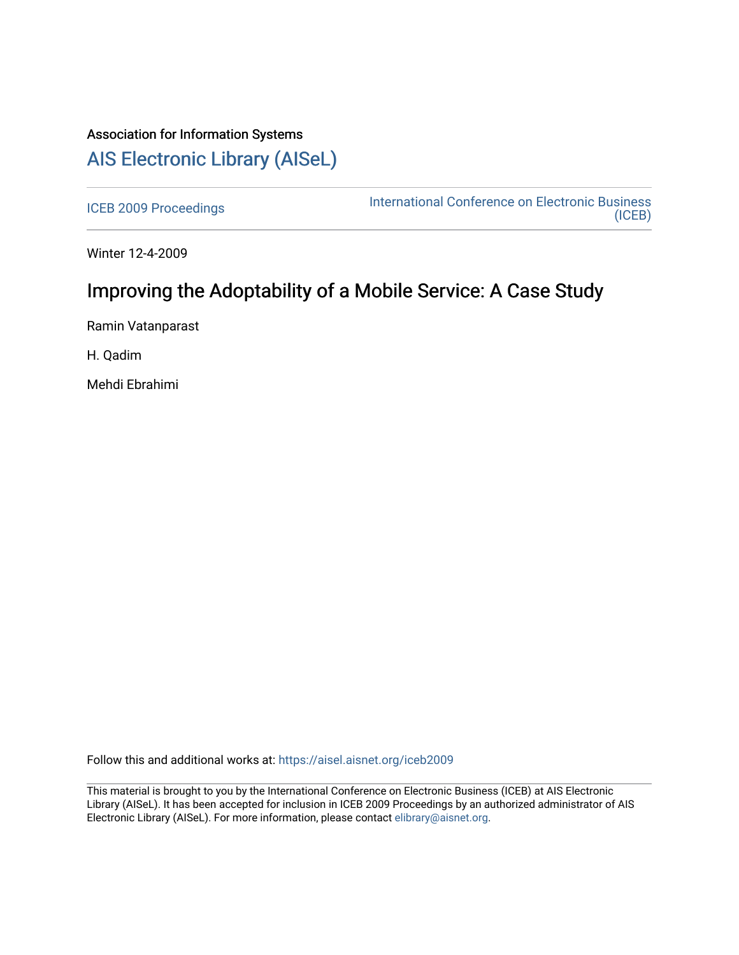## Association for Information Systems [AIS Electronic Library \(AISeL\)](https://aisel.aisnet.org/)

[ICEB 2009 Proceedings](https://aisel.aisnet.org/iceb2009) **International Conference on Electronic Business** [\(ICEB\)](https://aisel.aisnet.org/iceb) 

Winter 12-4-2009

# Improving the Adoptability of a Mobile Service: A Case Study

Ramin Vatanparast

H. Qadim

Mehdi Ebrahimi

Follow this and additional works at: [https://aisel.aisnet.org/iceb2009](https://aisel.aisnet.org/iceb2009?utm_source=aisel.aisnet.org%2Ficeb2009%2F112&utm_medium=PDF&utm_campaign=PDFCoverPages)

This material is brought to you by the International Conference on Electronic Business (ICEB) at AIS Electronic Library (AISeL). It has been accepted for inclusion in ICEB 2009 Proceedings by an authorized administrator of AIS Electronic Library (AISeL). For more information, please contact [elibrary@aisnet.org.](mailto:elibrary@aisnet.org%3E)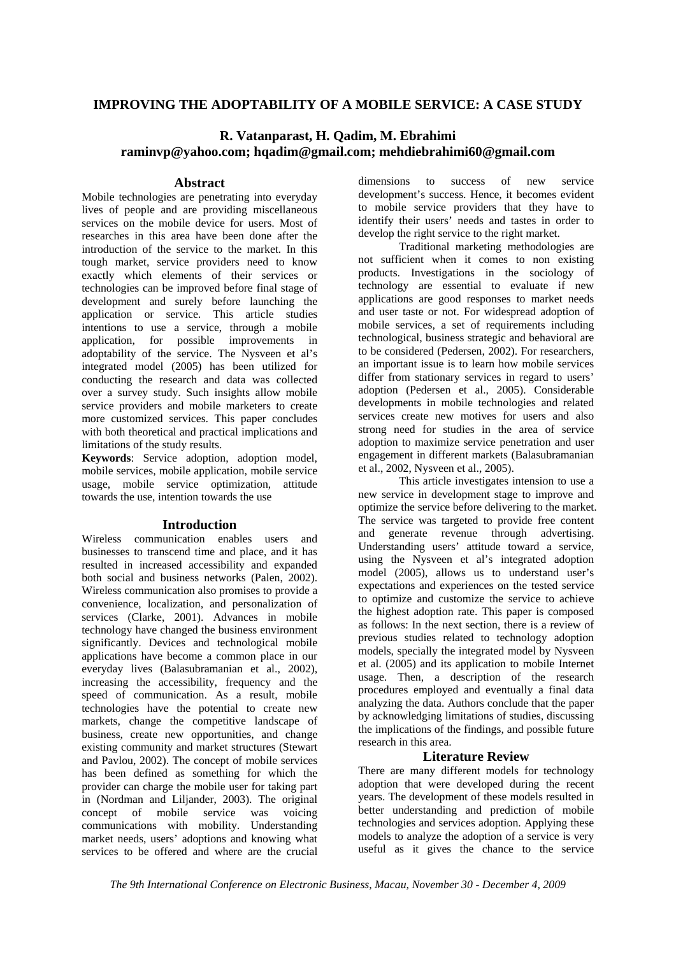## **IMPROVING THE ADOPTABILITY OF A MOBILE SERVICE: A CASE STUDY**

## **R. Vatanparast, H. Qadim, M. Ebrahimi raminvp@yahoo.com; hqadim@gmail.com; mehdiebrahimi60@gmail.com**

### **Abstract**

Mobile technologies are penetrating into everyday lives of people and are providing miscellaneous services on the mobile device for users. Most of researches in this area have been done after the introduction of the service to the market. In this tough market, service providers need to know exactly which elements of their services or technologies can be improved before final stage of development and surely before launching the application or service. This article studies intentions to use a service, through a mobile application, for possible improvements in adoptability of the service. The Nysveen et al's integrated model (2005) has been utilized for conducting the research and data was collected over a survey study. Such insights allow mobile service providers and mobile marketers to create more customized services. This paper concludes with both theoretical and practical implications and limitations of the study results.

**Keywords**: Service adoption, adoption model, mobile services, mobile application, mobile service usage, mobile service optimization, attitude towards the use, intention towards the use

## **Introduction**

Wireless communication enables users and businesses to transcend time and place, and it has resulted in increased accessibility and expanded both social and business networks (Palen, 2002). Wireless communication also promises to provide a convenience, localization, and personalization of services (Clarke, 2001). Advances in mobile technology have changed the business environment significantly. Devices and technological mobile applications have become a common place in our everyday lives (Balasubramanian et al., 2002), increasing the accessibility, frequency and the speed of communication. As a result, mobile technologies have the potential to create new markets, change the competitive landscape of business, create new opportunities, and change existing community and market structures (Stewart and Pavlou, 2002). The concept of mobile services has been defined as something for which the provider can charge the mobile user for taking part in (Nordman and Liljander, 2003). The original concept of mobile service was voicing communications with mobility. Understanding market needs, users' adoptions and knowing what services to be offered and where are the crucial

dimensions to success of new service development's success. Hence, it becomes evident to mobile service providers that they have to identify their users' needs and tastes in order to develop the right service to the right market.

Traditional marketing methodologies are not sufficient when it comes to non existing products. Investigations in the sociology of technology are essential to evaluate if new applications are good responses to market needs and user taste or not. For widespread adoption of mobile services, a set of requirements including technological, business strategic and behavioral are to be considered (Pedersen, 2002). For researchers, an important issue is to learn how mobile services differ from stationary services in regard to users' adoption (Pedersen et al., 2005). Considerable developments in mobile technologies and related services create new motives for users and also strong need for studies in the area of service adoption to maximize service penetration and user engagement in different markets (Balasubramanian et al., 2002, Nysveen et al., 2005).

This article investigates intension to use a new service in development stage to improve and optimize the service before delivering to the market. The service was targeted to provide free content and generate revenue through advertising. Understanding users' attitude toward a service, using the Nysveen et al's integrated adoption model (2005), allows us to understand user's expectations and experiences on the tested service to optimize and customize the service to achieve the highest adoption rate. This paper is composed as follows: In the next section, there is a review of previous studies related to technology adoption models, specially the integrated model by Nysveen et al. (2005) and its application to mobile Internet usage. Then, a description of the research procedures employed and eventually a final data analyzing the data. Authors conclude that the paper by acknowledging limitations of studies, discussing the implications of the findings, and possible future research in this area.

## **Literature Review**

There are many different models for technology adoption that were developed during the recent years. The development of these models resulted in better understanding and prediction of mobile technologies and services adoption. Applying these models to analyze the adoption of a service is very useful as it gives the chance to the service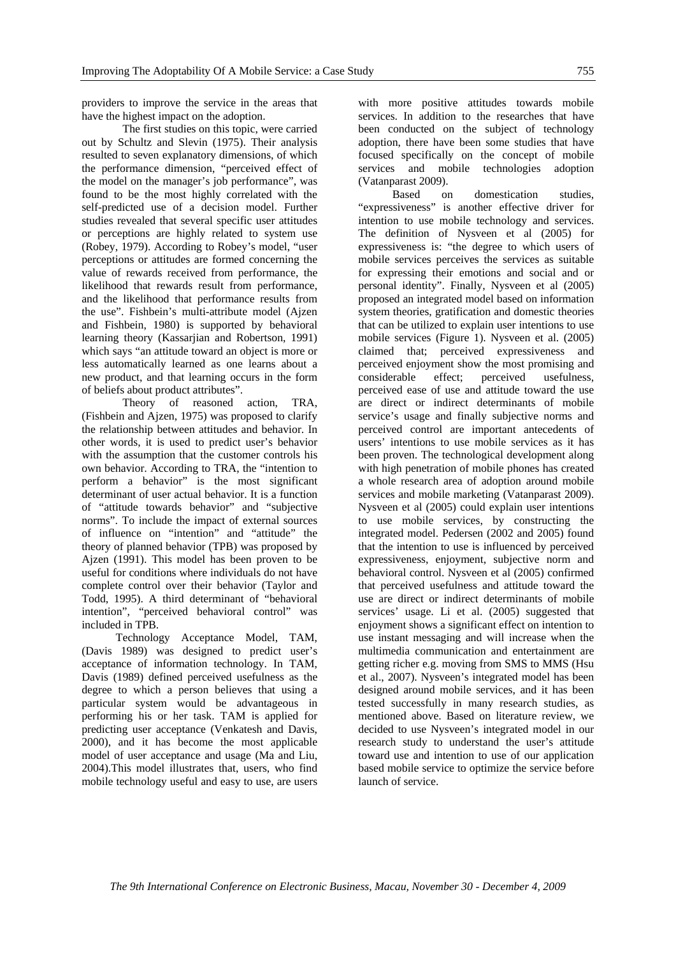providers to improve the service in the areas that have the highest impact on the adoption.

The first studies on this topic, were carried out by Schultz and Slevin (1975). Their analysis resulted to seven explanatory dimensions, of which the performance dimension, "perceived effect of the model on the manager's job performance", was found to be the most highly correlated with the self-predicted use of a decision model. Further studies revealed that several specific user attitudes or perceptions are highly related to system use (Robey, 1979). According to Robey's model, "user perceptions or attitudes are formed concerning the value of rewards received from performance, the likelihood that rewards result from performance, and the likelihood that performance results from the use". Fishbein's multi-attribute model (Ajzen and Fishbein, 1980) is supported by behavioral learning theory (Kassarjian and Robertson, 1991) which says "an attitude toward an object is more or less automatically learned as one learns about a new product, and that learning occurs in the form of beliefs about product attributes".

Theory of reasoned action, TRA, (Fishbein and Ajzen, 1975) was proposed to clarify the relationship between attitudes and behavior. In other words, it is used to predict user's behavior with the assumption that the customer controls his own behavior. According to TRA, the "intention to perform a behavior" is the most significant determinant of user actual behavior. It is a function of "attitude towards behavior" and "subjective norms". To include the impact of external sources of influence on "intention" and "attitude" the theory of planned behavior (TPB) was proposed by Ajzen (1991). This model has been proven to be useful for conditions where individuals do not have complete control over their behavior (Taylor and Todd, 1995). A third determinant of "behavioral intention", "perceived behavioral control" was included in TPB.

Technology Acceptance Model, TAM, (Davis 1989) was designed to predict user's acceptance of information technology. In TAM, Davis (1989) defined perceived usefulness as the degree to which a person believes that using a particular system would be advantageous in performing his or her task. TAM is applied for predicting user acceptance (Venkatesh and Davis, 2000), and it has become the most applicable model of user acceptance and usage (Ma and Liu, 2004).This model illustrates that, users, who find mobile technology useful and easy to use, are users

with more positive attitudes towards mobile

services. In addition to the researches that have been conducted on the subject of technology adoption, there have been some studies that have focused specifically on the concept of mobile services and mobile technologies adoption (Vatanparast 2009).

Based on domestication studies, "expressiveness" is another effective driver for intention to use mobile technology and services. The definition of Nysveen et al (2005) for expressiveness is: "the degree to which users of mobile services perceives the services as suitable for expressing their emotions and social and or personal identity". Finally, Nysveen et al (2005) proposed an integrated model based on information system theories, gratification and domestic theories that can be utilized to explain user intentions to use mobile services (Figure 1). Nysveen et al. (2005) claimed that; perceived expressiveness and perceived enjoyment show the most promising and considerable effect; perceived usefulness, perceived ease of use and attitude toward the use are direct or indirect determinants of mobile service's usage and finally subjective norms and perceived control are important antecedents of users' intentions to use mobile services as it has been proven. The technological development along with high penetration of mobile phones has created a whole research area of adoption around mobile services and mobile marketing (Vatanparast 2009). Nysveen et al (2005) could explain user intentions to use mobile services, by constructing the integrated model. Pedersen (2002 and 2005) found that the intention to use is influenced by perceived expressiveness, enjoyment, subjective norm and behavioral control. Nysveen et al (2005) confirmed that perceived usefulness and attitude toward the use are direct or indirect determinants of mobile services' usage. Li et al. (2005) suggested that enjoyment shows a significant effect on intention to use instant messaging and will increase when the multimedia communication and entertainment are getting richer e.g. moving from SMS to MMS (Hsu et al., 2007). Nysveen's integrated model has been designed around mobile services, and it has been tested successfully in many research studies, as mentioned above. Based on literature review, we decided to use Nysveen's integrated model in our research study to understand the user's attitude toward use and intention to use of our application based mobile service to optimize the service before launch of service.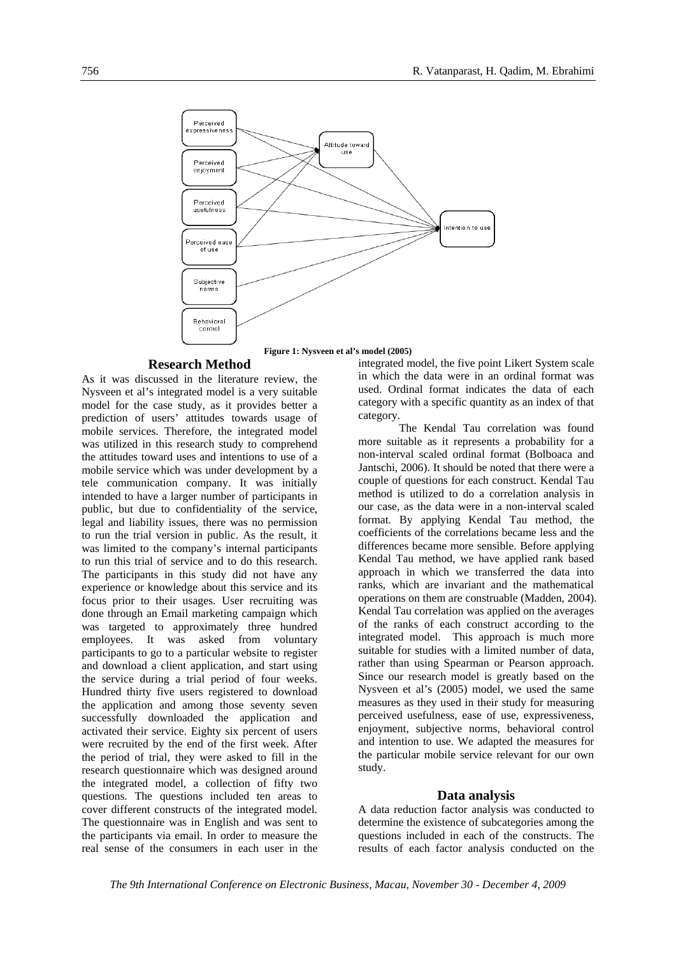

#### **Research Method**

As it was discussed in the literature review, the Nysveen et al's integrated model is a very suitable model for the case study, as it provides better a prediction of users' attitudes towards usage of mobile services. Therefore, the integrated model was utilized in this research study to comprehend the attitudes toward uses and intentions to use of a mobile service which was under development by a tele communication company. It was initially intended to have a larger number of participants in public, but due to confidentiality of the service, legal and liability issues, there was no permission to run the trial version in public. As the result, it was limited to the company's internal participants to run this trial of service and to do this research. The participants in this study did not have any experience or knowledge about this service and its focus prior to their usages. User recruiting was done through an Email marketing campaign which was targeted to approximately three hundred employees. It was asked from voluntary participants to go to a particular website to register and download a client application, and start using the service during a trial period of four weeks. Hundred thirty five users registered to download the application and among those seventy seven successfully downloaded the application and activated their service. Eighty six percent of users were recruited by the end of the first week. After the period of trial, they were asked to fill in the research questionnaire which was designed around the integrated model, a collection of fifty two questions. The questions included ten areas to cover different constructs of the integrated model. The questionnaire was in English and was sent to the participants via email. In order to measure the real sense of the consumers in each user in the

integrated model, the five point Likert System scale in which the data were in an ordinal format was used. Ordinal format indicates the data of each category with a specific quantity as an index of that category.

The Kendal Tau correlation was found more suitable as it represents a probability for a non-interval scaled ordinal format (Bolboaca and Jantschi, 2006). It should be noted that there were a couple of questions for each construct. Kendal Tau method is utilized to do a correlation analysis in our case, as the data were in a non-interval scaled format. By applying Kendal Tau method, the coefficients of the correlations became less and the differences became more sensible. Before applying Kendal Tau method, we have applied rank based approach in which we transferred the data into ranks, which are invariant and the mathematical operations on them are construable (Madden, 2004). Kendal Tau correlation was applied on the averages of the ranks of each construct according to the integrated model. This approach is much more suitable for studies with a limited number of data, rather than using Spearman or Pearson approach. Since our research model is greatly based on the Nysveen et al's (2005) model, we used the same measures as they used in their study for measuring perceived usefulness, ease of use, expressiveness, enjoyment, subjective norms, behavioral control and intention to use. We adapted the measures for the particular mobile service relevant for our own study.

#### **Data analysis**

A data reduction factor analysis was conducted to determine the existence of subcategories among the questions included in each of the constructs. The results of each factor analysis conducted on the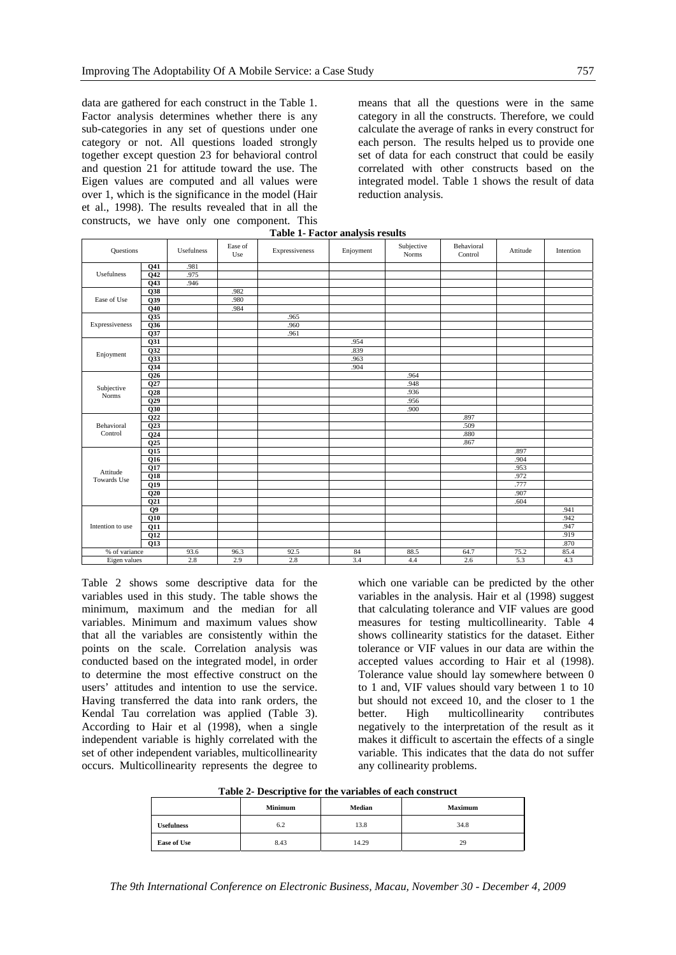data are gathered for each construct in the Table 1. Factor analysis determines whether there is any sub-categories in any set of questions under one category or not. All questions loaded strongly together except question 23 for behavioral control and question 21 for attitude toward the use. The Eigen values are computed and all values were over 1, which is the significance in the model (Hair et al., 1998). The results revealed that in all the constructs, we have only one component. This

means that all the questions were in the same category in all the constructs. Therefore, we could calculate the average of ranks in every construct for each person. The results helped us to provide one set of data for each construct that could be easily correlated with other constructs based on the integrated model. Table 1 shows the result of data reduction analysis.

| Table 1- Pactor analysis results |                  |            |                |                |           |                            |                       |          |           |
|----------------------------------|------------------|------------|----------------|----------------|-----------|----------------------------|-----------------------|----------|-----------|
| Questions                        |                  | Usefulness | Ease of<br>Use | Expressiveness | Enjoyment | Subjective<br><b>Norms</b> | Behavioral<br>Control | Attitude | Intention |
| Usefulness                       | Q41              | .981       |                |                |           |                            |                       |          |           |
|                                  | Q <sub>42</sub>  | .975       |                |                |           |                            |                       |          |           |
|                                  | Q <sub>43</sub>  | .946       |                |                |           |                            |                       |          |           |
| Ease of Use                      | Q38              |            | .982           |                |           |                            |                       |          |           |
|                                  | $\overline{Q39}$ |            | .980           |                |           |                            |                       |          |           |
|                                  | Q40              |            | .984           |                |           |                            |                       |          |           |
|                                  | Q35              |            |                | .965           |           |                            |                       |          |           |
| Expressiveness                   | $\overline{Q36}$ |            |                | .960           |           |                            |                       |          |           |
|                                  | Q37              |            |                | .961           |           |                            |                       |          |           |
|                                  | Q31              |            |                |                | .954      |                            |                       |          |           |
|                                  | Q32              |            |                |                | .839      |                            |                       |          |           |
| Enjoyment                        | Q33              |            |                |                | .963      |                            |                       |          |           |
|                                  | $Q$ 34           |            |                |                | .904      |                            |                       |          |           |
|                                  | Q26              |            |                |                |           | .964                       |                       |          |           |
| Subjective                       | Q27              |            |                |                |           | .948                       |                       |          |           |
| Norms                            | Q28              |            |                |                |           | .936                       |                       |          |           |
|                                  | Q29              |            |                |                |           | .956                       |                       |          |           |
|                                  | Q30              |            |                |                |           | .900                       |                       |          |           |
|                                  | Q22              |            |                |                |           |                            | .897                  |          |           |
| Behavioral                       | Q23              |            |                |                |           |                            | .509                  |          |           |
| Control                          | Q24              |            |                |                |           |                            | .880                  |          |           |
|                                  | Q25              |            |                |                |           |                            | .867                  |          |           |
|                                  | Q15              |            |                |                |           |                            |                       | .897     |           |
|                                  | Q16              |            |                |                |           |                            |                       | .904     |           |
| Attitude                         | Q17              |            |                |                |           |                            |                       | .953     |           |
| Towards Use                      | Q18              |            |                |                |           |                            |                       | .972     |           |
|                                  | Q19              |            |                |                |           |                            |                       | .777     |           |
|                                  | Q20              |            |                |                |           |                            |                       | .907     |           |
|                                  | Q <sub>21</sub>  |            |                |                |           |                            |                       | .604     |           |
| Intention to use                 | Q <sub>9</sub>   |            |                |                |           |                            |                       |          | .941      |
|                                  | Q10              |            |                |                |           |                            |                       |          | .942      |
|                                  | Q11              |            |                |                |           |                            |                       |          | .947      |
|                                  | Q12              |            |                |                |           |                            |                       |          | .919      |
|                                  | Q13              |            |                |                |           |                            |                       |          | .870      |
| % of variance                    |                  | 93.6       | 96.3           | 92.5           | 84        | 88.5                       | 64.7                  | 75.2     | 85.4      |
| Eigen values                     |                  | 2.8        | 2.9            | 2.8            | 3.4       | 4.4                        | 2.6                   | 5.3      | 4.3       |

| Table 1- Factor analysis results |  |
|----------------------------------|--|
|----------------------------------|--|

Table 2 shows some descriptive data for the variables used in this study. The table shows the minimum, maximum and the median for all variables. Minimum and maximum values show that all the variables are consistently within the points on the scale. Correlation analysis was conducted based on the integrated model, in order to determine the most effective construct on the users' attitudes and intention to use the service. Having transferred the data into rank orders, the Kendal Tau correlation was applied (Table 3). According to Hair et al (1998), when a single independent variable is highly correlated with the set of other independent variables, multicollinearity occurs. Multicollinearity represents the degree to

which one variable can be predicted by the other variables in the analysis. Hair et al (1998) suggest that calculating tolerance and VIF values are good measures for testing multicollinearity. Table 4 shows collinearity statistics for the dataset. Either tolerance or VIF values in our data are within the accepted values according to Hair et al (1998). Tolerance value should lay somewhere between 0 to 1 and, VIF values should vary between 1 to 10 but should not exceed 10, and the closer to 1 the better. High multicollinearity contributes negatively to the interpretation of the result as it makes it difficult to ascertain the effects of a single variable. This indicates that the data do not suffer any collinearity problems.

**Table 2- Descriptive for the variables of each construct** 

|                    | <b>Minimum</b> | Median | <b>Maximum</b> |
|--------------------|----------------|--------|----------------|
| <b>Usefulness</b>  | 6.2            | 13.8   | 34.8           |
| <b>Ease of Use</b> | 8.43           | 14.29  | 29             |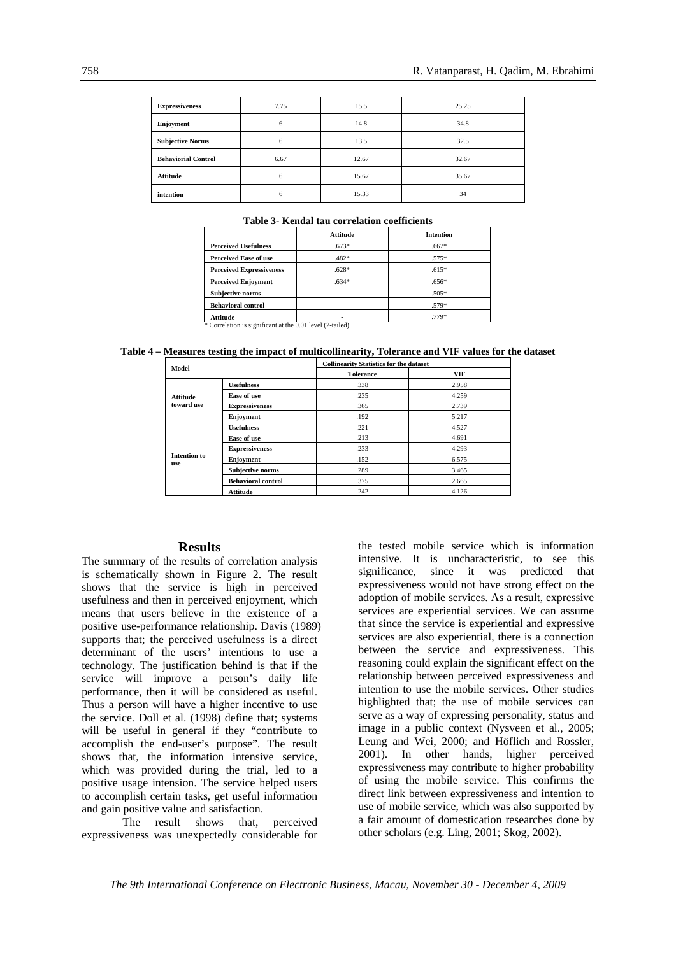| <b>Expressiveness</b>      | 7.75 | 15.5  | 25.25 |
|----------------------------|------|-------|-------|
| Enjoyment                  | 6    | 14.8  | 34.8  |
| <b>Subjective Norms</b>    | 6    | 13.5  | 32.5  |
| <b>Behaviorial Control</b> | 6.67 | 12.67 | 32.67 |
| <b>Attitude</b>            | 6    | 15.67 | 35.67 |
| intention                  | 6    | 15.33 | 34    |

#### **Table 3- Kendal tau correlation coefficients**

|                                 | Attitude | <b>Intention</b> |
|---------------------------------|----------|------------------|
| <b>Perceived Usefulness</b>     | $.673*$  | $.667*$          |
| <b>Perceived Ease of use</b>    | .482*    | $.575*$          |
| <b>Perceived Expressiveness</b> | $.628*$  | $.615*$          |
| <b>Perceived Enjoyment</b>      | $.634*$  | $.656*$          |
| <b>Subjective norms</b>         |          | $.505*$          |
| <b>Behavioral control</b>       |          | .579*            |
| Attitude                        |          | .779*            |

\* Correlation is significant at the 0.01 level (2-tailed).

#### **Table 4 – Measures testing the impact of multicollinearity, Tolerance and VIF values for the dataset**

| Model                         |                           | <b>Collinearity Statistics for the dataset</b> |       |  |  |
|-------------------------------|---------------------------|------------------------------------------------|-------|--|--|
|                               |                           | <b>Tolerance</b>                               | VIF   |  |  |
| <b>Attitude</b><br>toward use | <b>Usefulness</b>         | .338                                           | 2.958 |  |  |
|                               | Ease of use               | .235                                           | 4.259 |  |  |
|                               | <b>Expressiveness</b>     | .365                                           | 2.739 |  |  |
|                               | Enjoyment                 | .192                                           | 5.217 |  |  |
|                               | <b>Usefulness</b>         | .221                                           | 4.527 |  |  |
|                               | Ease of use               | .213                                           | 4.691 |  |  |
|                               | <b>Expressiveness</b>     | .233                                           | 4.293 |  |  |
| <b>Intention to</b><br>use    | Enjoyment                 | .152                                           | 6.575 |  |  |
|                               | <b>Subjective norms</b>   | .289                                           | 3.465 |  |  |
|                               | <b>Behavioral control</b> | .375                                           | 2.665 |  |  |
|                               | <b>Attitude</b>           | .242                                           | 4.126 |  |  |

#### **Results**

The summary of the results of correlation analysis is schematically shown in Figure 2. The result shows that the service is high in perceived usefulness and then in perceived enjoyment, which means that users believe in the existence of a positive use-performance relationship. Davis (1989) supports that; the perceived usefulness is a direct determinant of the users' intentions to use a technology. The justification behind is that if the service will improve a person's daily life performance, then it will be considered as useful. Thus a person will have a higher incentive to use the service. Doll et al. (1998) define that; systems will be useful in general if they "contribute to accomplish the end-user's purpose". The result shows that, the information intensive service, which was provided during the trial, led to a positive usage intension. The service helped users to accomplish certain tasks, get useful information and gain positive value and satisfaction.

The result shows that, perceived expressiveness was unexpectedly considerable for the tested mobile service which is information intensive. It is uncharacteristic, to see this significance, since it was predicted that expressiveness would not have strong effect on the adoption of mobile services. As a result, expressive services are experiential services. We can assume that since the service is experiential and expressive services are also experiential, there is a connection between the service and expressiveness. This reasoning could explain the significant effect on the relationship between perceived expressiveness and intention to use the mobile services. Other studies highlighted that; the use of mobile services can serve as a way of expressing personality, status and image in a public context (Nysveen et al., 2005; Leung and Wei, 2000; and Höflich and Rossler, 2001). In other hands, higher perceived expressiveness may contribute to higher probability of using the mobile service. This confirms the direct link between expressiveness and intention to use of mobile service, which was also supported by a fair amount of domestication researches done by other scholars (e.g. Ling, 2001; Skog, 2002).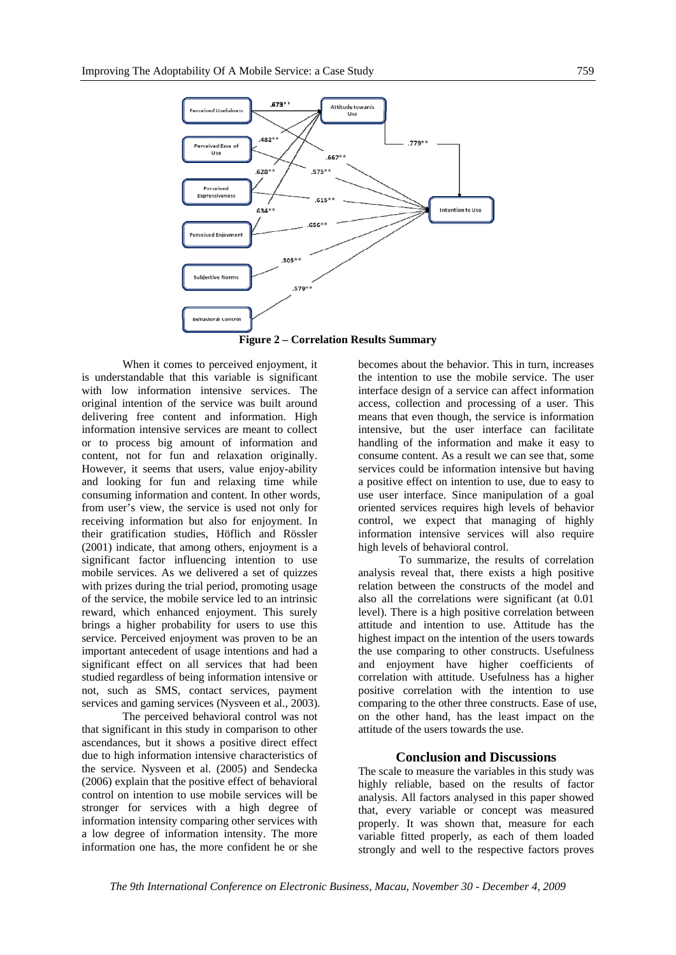

**Figure 2 – Correlation Results Summary** 

When it comes to perceived enjoyment, it is understandable that this variable is significant with low information intensive services. The original intention of the service was built around delivering free content and information. High information intensive services are meant to collect or to process big amount of information and content, not for fun and relaxation originally. However, it seems that users, value enjoy-ability and looking for fun and relaxing time while consuming information and content. In other words, from user's view, the service is used not only for receiving information but also for enjoyment. In their gratification studies, Höflich and Rössler (2001) indicate, that among others, enjoyment is a significant factor influencing intention to use mobile services. As we delivered a set of quizzes with prizes during the trial period, promoting usage of the service, the mobile service led to an intrinsic reward, which enhanced enjoyment. This surely brings a higher probability for users to use this service. Perceived enjoyment was proven to be an important antecedent of usage intentions and had a significant effect on all services that had been studied regardless of being information intensive or not, such as SMS, contact services, payment services and gaming services (Nysveen et al., 2003).

The perceived behavioral control was not that significant in this study in comparison to other ascendances, but it shows a positive direct effect due to high information intensive characteristics of the service. Nysveen et al. (2005) and Sendecka (2006) explain that the positive effect of behavioral control on intention to use mobile services will be stronger for services with a high degree of information intensity comparing other services with a low degree of information intensity. The more information one has, the more confident he or she

becomes about the behavior. This in turn, increases the intention to use the mobile service. The user interface design of a service can affect information access, collection and processing of a user. This means that even though, the service is information intensive, but the user interface can facilitate handling of the information and make it easy to consume content. As a result we can see that, some services could be information intensive but having a positive effect on intention to use, due to easy to use user interface. Since manipulation of a goal oriented services requires high levels of behavior control, we expect that managing of highly information intensive services will also require high levels of behavioral control.

To summarize, the results of correlation analysis reveal that, there exists a high positive relation between the constructs of the model and also all the correlations were significant (at 0.01 level). There is a high positive correlation between attitude and intention to use. Attitude has the highest impact on the intention of the users towards the use comparing to other constructs. Usefulness and enjoyment have higher coefficients of correlation with attitude. Usefulness has a higher positive correlation with the intention to use comparing to the other three constructs. Ease of use, on the other hand, has the least impact on the attitude of the users towards the use.

#### **Conclusion and Discussions**

The scale to measure the variables in this study was highly reliable, based on the results of factor analysis. All factors analysed in this paper showed that, every variable or concept was measured properly. It was shown that, measure for each variable fitted properly, as each of them loaded strongly and well to the respective factors proves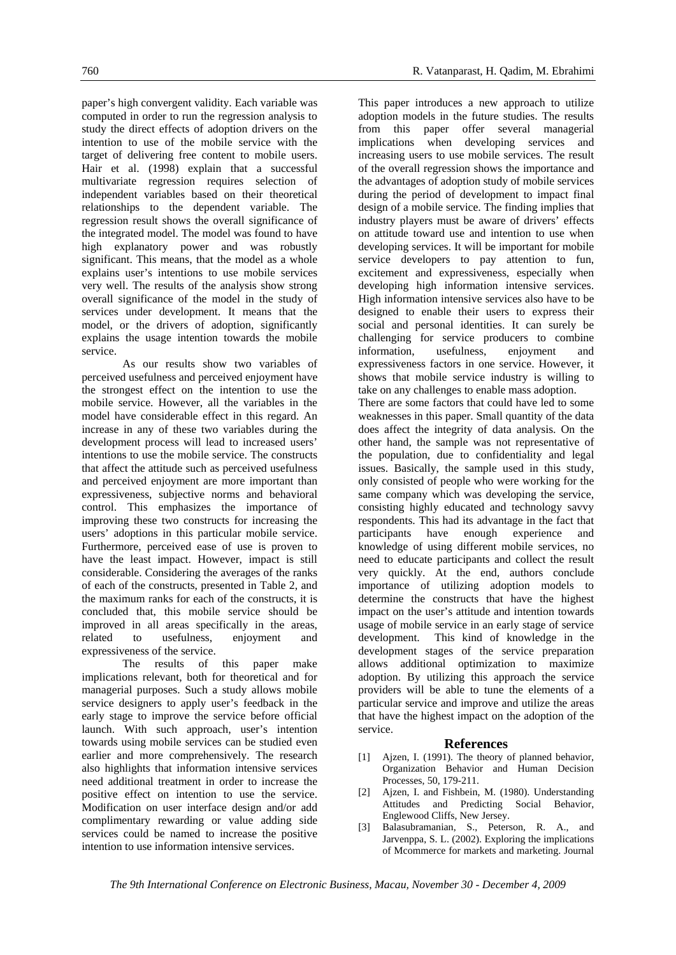paper's high convergent validity. Each variable was computed in order to run the regression analysis to study the direct effects of adoption drivers on the intention to use of the mobile service with the target of delivering free content to mobile users. Hair et al. (1998) explain that a successful multivariate regression requires selection of independent variables based on their theoretical relationships to the dependent variable. The regression result shows the overall significance of the integrated model. The model was found to have high explanatory power and was robustly significant. This means, that the model as a whole explains user's intentions to use mobile services very well. The results of the analysis show strong overall significance of the model in the study of services under development. It means that the model, or the drivers of adoption, significantly explains the usage intention towards the mobile service.

As our results show two variables of perceived usefulness and perceived enjoyment have the strongest effect on the intention to use the mobile service. However, all the variables in the model have considerable effect in this regard. An increase in any of these two variables during the development process will lead to increased users' intentions to use the mobile service. The constructs that affect the attitude such as perceived usefulness and perceived enjoyment are more important than expressiveness, subjective norms and behavioral control. This emphasizes the importance of improving these two constructs for increasing the users' adoptions in this particular mobile service. Furthermore, perceived ease of use is proven to have the least impact. However, impact is still considerable. Considering the averages of the ranks of each of the constructs, presented in Table 2, and the maximum ranks for each of the constructs, it is concluded that, this mobile service should be improved in all areas specifically in the areas, related to usefulness, enjoyment and expressiveness of the service.

The results of this paper make implications relevant, both for theoretical and for managerial purposes. Such a study allows mobile service designers to apply user's feedback in the early stage to improve the service before official launch. With such approach, user's intention towards using mobile services can be studied even earlier and more comprehensively. The research also highlights that information intensive services need additional treatment in order to increase the positive effect on intention to use the service. Modification on user interface design and/or add complimentary rewarding or value adding side services could be named to increase the positive intention to use information intensive services.

This paper introduces a new approach to utilize adoption models in the future studies. The results from this paper offer several managerial implications when developing services and increasing users to use mobile services. The result of the overall regression shows the importance and the advantages of adoption study of mobile services during the period of development to impact final design of a mobile service. The finding implies that industry players must be aware of drivers' effects on attitude toward use and intention to use when developing services. It will be important for mobile service developers to pay attention to fun, excitement and expressiveness, especially when developing high information intensive services. High information intensive services also have to be designed to enable their users to express their social and personal identities. It can surely be challenging for service producers to combine information, usefulness, enjoyment and expressiveness factors in one service. However, it shows that mobile service industry is willing to take on any challenges to enable mass adoption. There are some factors that could have led to some weaknesses in this paper. Small quantity of the data does affect the integrity of data analysis. On the other hand, the sample was not representative of the population, due to confidentiality and legal

issues. Basically, the sample used in this study, only consisted of people who were working for the same company which was developing the service, consisting highly educated and technology savvy respondents. This had its advantage in the fact that participants have enough experience and knowledge of using different mobile services, no need to educate participants and collect the result very quickly. At the end, authors conclude importance of utilizing adoption models to determine the constructs that have the highest impact on the user's attitude and intention towards usage of mobile service in an early stage of service development. This kind of knowledge in the development stages of the service preparation allows additional optimization to maximize adoption. By utilizing this approach the service providers will be able to tune the elements of a particular service and improve and utilize the areas that have the highest impact on the adoption of the service.

#### **References**

- [1] Ajzen, I. (1991). The theory of planned behavior, Organization Behavior and Human Decision Processes, 50, 179-211.
- [2] Ajzen, I. and Fishbein, M. (1980). Understanding Attitudes and Predicting Social Behavior, Englewood Cliffs, New Jersey.
- [3] Balasubramanian, S., Peterson, R. A., and Jarvenppa, S. L. (2002). Exploring the implications of Mcommerce for markets and marketing. Journal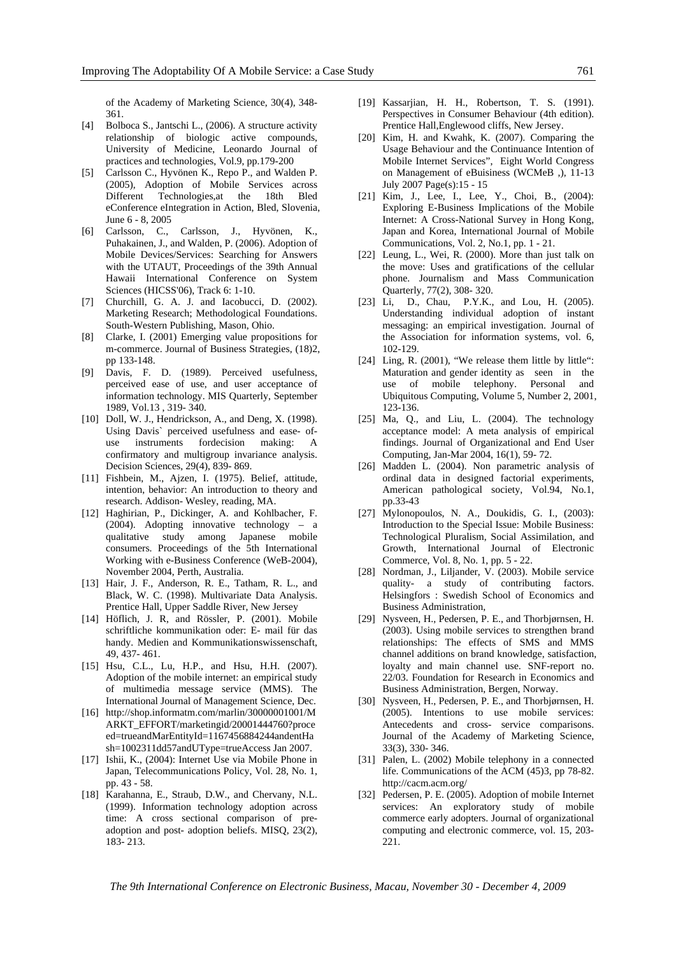of the Academy of Marketing Science, 30(4), 348- 361.

- [4] Bolboca S., Jantschi L., (2006). A structure activity relationship of biologic active compounds, University of Medicine, Leonardo Journal of practices and technologies, Vol.9, pp.179-200
- [5] Carlsson C., Hyvönen K., Repo P., and Walden P. (2005), Adoption of Mobile Services across Different Technologies,at the 18th Bled eConference eIntegration in Action, Bled, Slovenia, June 6 - 8, 2005
- [6] Carlsson, C., Carlsson, J., Hyvönen, K., Puhakainen, J., and Walden, P. (2006). Adoption of Mobile Devices/Services: Searching for Answers with the UTAUT, Proceedings of the 39th Annual Hawaii International Conference on System Sciences (HICSS'06), Track 6: 1-10.
- [7] Churchill, G. A. J. and Iacobucci, D. (2002). Marketing Research; Methodological Foundations. South-Western Publishing, Mason, Ohio.
- [8] Clarke, I. (2001) Emerging value propositions for m-commerce. Journal of Business Strategies, (18)2, pp 133-148.
- [9] Davis, F. D. (1989). Perceived usefulness, perceived ease of use, and user acceptance of information technology. MIS Quarterly, September 1989, Vol.13 , 319- 340.
- [10] Doll, W. J., Hendrickson, A., and Deng, X. (1998). Using Davis` perceived usefulness and ease- ofuse instruments fordecision making: A confirmatory and multigroup invariance analysis. Decision Sciences, 29(4), 839- 869.
- [11] Fishbein, M., Ajzen, I. (1975). Belief, attitude, intention, behavior: An introduction to theory and research. Addison- Wesley, reading, MA.
- [12] Haghirian, P., Dickinger, A. and Kohlbacher, F. (2004). Adopting innovative technology – a qualitative study among Japanese mobile consumers. Proceedings of the 5th International Working with e-Business Conference (WeB-2004), November 2004, Perth, Australia.
- [13] Hair, J. F., Anderson, R. E., Tatham, R. L., and Black, W. C. (1998). Multivariate Data Analysis. Prentice Hall, Upper Saddle River, New Jersey
- [14] Höflich, J. R, and Rössler, P. (2001). Mobile schriftliche kommunikation oder: E- mail für das handy. Medien and Kommunikationswissenschaft, 49, 437- 461.
- [15] Hsu, C.L., Lu, H.P., and Hsu, H.H. (2007). Adoption of the mobile internet: an empirical study of multimedia message service (MMS). The International Journal of Management Science, Dec.
- [16] http://shop.informatm.com/marlin/30000001001/M ARKT\_EFFORT/marketingid/20001444760?proce ed=trueandMarEntityId=1167456884244andentHa sh=1002311dd57andUType=trueAccess Jan 2007.
- [17] Ishii, K., (2004): Internet Use via Mobile Phone in Japan, Telecommunications Policy, Vol. 28, No. 1, pp. 43 - 58.
- [18] Karahanna, E., Straub, D.W., and Chervany, N.L. (1999). Information technology adoption across time: A cross sectional comparison of preadoption and post- adoption beliefs. MISQ, 23(2), 183- 213.
- [19] Kassarjian, H. H., Robertson, T. S. (1991). Perspectives in Consumer Behaviour (4th edition). Prentice Hall,Englewood cliffs, New Jersey.
- [20] Kim, H. and Kwahk, K. (2007). Comparing the Usage Behaviour and the Continuance Intention of Mobile Internet Services", Eight World Congress on Management of eBuisiness (WCMeB ,), 11-13 July 2007 Page(s):15 - 15
- [21] Kim, J., Lee, I., Lee, Y., Choi, B., (2004): Exploring E-Business Implications of the Mobile Internet: A Cross-National Survey in Hong Kong, Japan and Korea, International Journal of Mobile Communications, Vol. 2, No.1, pp. 1 - 21.
- [22] Leung, L., Wei, R. (2000). More than just talk on the move: Uses and gratifications of the cellular phone. Journalism and Mass Communication Quarterly, 77(2), 308- 320.
- [23] Li, D., Chau, P.Y.K., and Lou, H. (2005). Understanding individual adoption of instant messaging: an empirical investigation. Journal of the Association for information systems, vol. 6, 102-129.
- [24] Ling, R. (2001), "We release them little by little": Maturation and gender identity as seen in the use of mobile telephony. Personal and Ubiquitous Computing, Volume 5, Number 2, 2001, 123-136.
- [25] Ma, Q., and Liu, L. (2004). The technology acceptance model: A meta analysis of empirical findings. Journal of Organizational and End User Computing, Jan-Mar 2004, 16(1), 59- 72.
- [26] Madden L. (2004). Non parametric analysis of ordinal data in designed factorial experiments, American pathological society, Vol.94, No.1, pp.33-43
- [27] Mylonopoulos, N. A., Doukidis, G. I., (2003): Introduction to the Special Issue: Mobile Business: Technological Pluralism, Social Assimilation, and Growth, International Journal of Electronic Commerce, Vol. 8, No. 1, pp. 5 - 22.
- [28] Nordman, J., Liljander, V. (2003). Mobile service quality- a study of contributing factors. Helsingfors : Swedish School of Economics and Business Administration,
- [29] Nysveen, H., Pedersen, P. E., and Thorbjørnsen, H. (2003). Using mobile services to strengthen brand relationships: The effects of SMS and MMS channel additions on brand knowledge, satisfaction, loyalty and main channel use. SNF-report no. 22/03. Foundation for Research in Economics and Business Administration, Bergen, Norway.
- [30] Nysveen, H., Pedersen, P. E., and Thorbjørnsen, H. (2005). Intentions to use mobile services: Antecedents and cross- service comparisons. Journal of the Academy of Marketing Science, 33(3), 330- 346.
- [31] Palen, L. (2002) Mobile telephony in a connected life. Communications of the ACM (45)3, pp 78-82. http://cacm.acm.org/
- [32] Pedersen, P. E. (2005). Adoption of mobile Internet services: An exploratory study of mobile commerce early adopters. Journal of organizational computing and electronic commerce, vol. 15, 203- 221.

*The 9th International Conference on Electronic Business, Macau, November 30 - December 4, 2009*